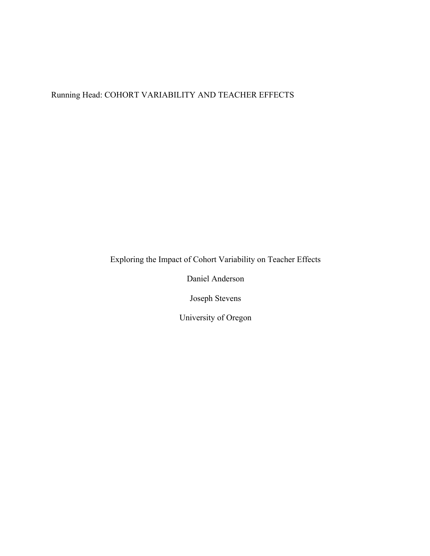# Running Head: COHORT VARIABILITY AND TEACHER EFFECTS

Exploring the Impact of Cohort Variability on Teacher Effects

Daniel Anderson

Joseph Stevens

University of Oregon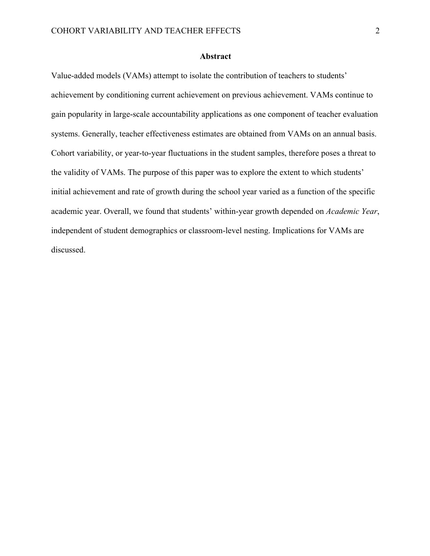#### **Abstract**

Value-added models (VAMs) attempt to isolate the contribution of teachers to students' achievement by conditioning current achievement on previous achievement. VAMs continue to gain popularity in large-scale accountability applications as one component of teacher evaluation systems. Generally, teacher effectiveness estimates are obtained from VAMs on an annual basis. Cohort variability, or year-to-year fluctuations in the student samples, therefore poses a threat to the validity of VAMs. The purpose of this paper was to explore the extent to which students' initial achievement and rate of growth during the school year varied as a function of the specific academic year. Overall, we found that students' within-year growth depended on *Academic Year*, independent of student demographics or classroom-level nesting. Implications for VAMs are discussed.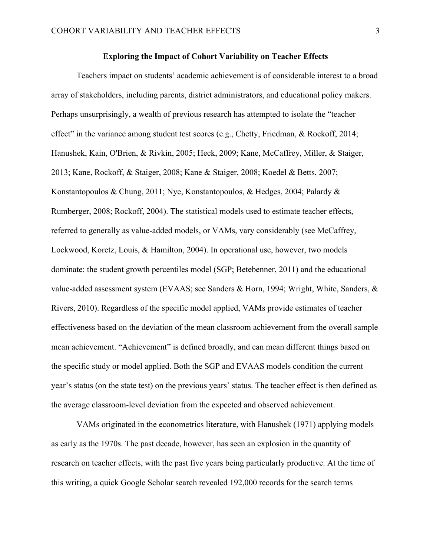#### **Exploring the Impact of Cohort Variability on Teacher Effects**

Teachers impact on students' academic achievement is of considerable interest to a broad array of stakeholders, including parents, district administrators, and educational policy makers. Perhaps unsurprisingly, a wealth of previous research has attempted to isolate the "teacher effect" in the variance among student test scores (e.g., Chetty, Friedman, & Rockoff, 2014; Hanushek, Kain, O'Brien, & Rivkin, 2005; Heck, 2009; Kane, McCaffrey, Miller, & Staiger, 2013; Kane, Rockoff, & Staiger, 2008; Kane & Staiger, 2008; Koedel & Betts, 2007; Konstantopoulos & Chung, 2011; Nye, Konstantopoulos, & Hedges, 2004; Palardy & Rumberger, 2008; Rockoff, 2004). The statistical models used to estimate teacher effects, referred to generally as value-added models, or VAMs, vary considerably (see McCaffrey, Lockwood, Koretz, Louis, & Hamilton, 2004). In operational use, however, two models dominate: the student growth percentiles model (SGP; Betebenner, 2011) and the educational value-added assessment system (EVAAS; see Sanders & Horn, 1994; Wright, White, Sanders, & Rivers, 2010). Regardless of the specific model applied, VAMs provide estimates of teacher effectiveness based on the deviation of the mean classroom achievement from the overall sample mean achievement. "Achievement" is defined broadly, and can mean different things based on the specific study or model applied. Both the SGP and EVAAS models condition the current year's status (on the state test) on the previous years' status. The teacher effect is then defined as the average classroom-level deviation from the expected and observed achievement.

VAMs originated in the econometrics literature, with Hanushek (1971) applying models as early as the 1970s. The past decade, however, has seen an explosion in the quantity of research on teacher effects, with the past five years being particularly productive. At the time of this writing, a quick Google Scholar search revealed 192,000 records for the search terms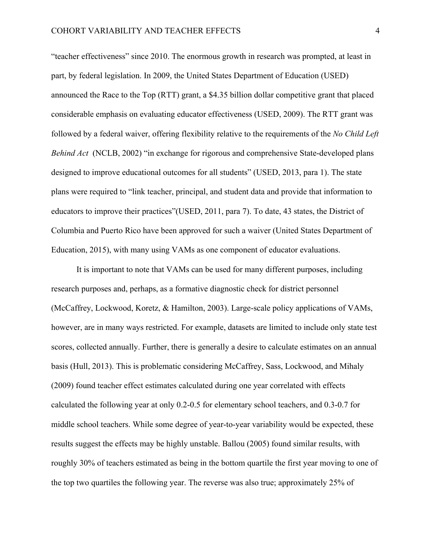"teacher effectiveness" since 2010. The enormous growth in research was prompted, at least in part, by federal legislation. In 2009, the United States Department of Education (USED) announced the Race to the Top (RTT) grant, a \$4.35 billion dollar competitive grant that placed considerable emphasis on evaluating educator effectiveness (USED, 2009). The RTT grant was followed by a federal waiver, offering flexibility relative to the requirements of the *No Child Left Behind Act* (NCLB, 2002) "in exchange for rigorous and comprehensive State-developed plans designed to improve educational outcomes for all students" (USED, 2013, para 1). The state plans were required to "link teacher, principal, and student data and provide that information to educators to improve their practices"(USED, 2011, para 7). To date, 43 states, the District of Columbia and Puerto Rico have been approved for such a waiver (United States Department of Education, 2015), with many using VAMs as one component of educator evaluations.

It is important to note that VAMs can be used for many different purposes, including research purposes and, perhaps, as a formative diagnostic check for district personnel (McCaffrey, Lockwood, Koretz, & Hamilton, 2003). Large-scale policy applications of VAMs, however, are in many ways restricted. For example, datasets are limited to include only state test scores, collected annually. Further, there is generally a desire to calculate estimates on an annual basis (Hull, 2013). This is problematic considering McCaffrey, Sass, Lockwood, and Mihaly (2009) found teacher effect estimates calculated during one year correlated with effects calculated the following year at only 0.2-0.5 for elementary school teachers, and 0.3-0.7 for middle school teachers. While some degree of year-to-year variability would be expected, these results suggest the effects may be highly unstable. Ballou (2005) found similar results, with roughly 30% of teachers estimated as being in the bottom quartile the first year moving to one of the top two quartiles the following year. The reverse was also true; approximately 25% of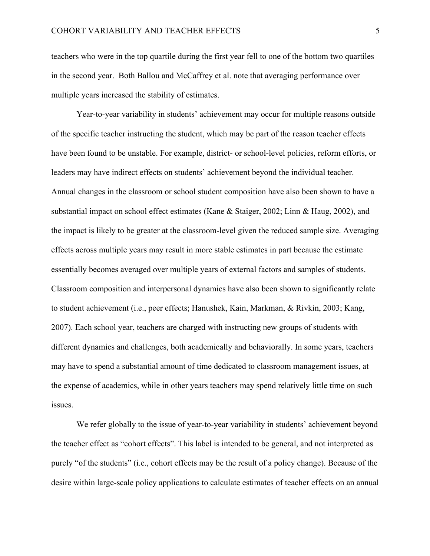teachers who were in the top quartile during the first year fell to one of the bottom two quartiles in the second year. Both Ballou and McCaffrey et al. note that averaging performance over multiple years increased the stability of estimates.

Year-to-year variability in students' achievement may occur for multiple reasons outside of the specific teacher instructing the student, which may be part of the reason teacher effects have been found to be unstable. For example, district- or school-level policies, reform efforts, or leaders may have indirect effects on students' achievement beyond the individual teacher. Annual changes in the classroom or school student composition have also been shown to have a substantial impact on school effect estimates (Kane & Staiger, 2002; Linn & Haug, 2002), and the impact is likely to be greater at the classroom-level given the reduced sample size. Averaging effects across multiple years may result in more stable estimates in part because the estimate essentially becomes averaged over multiple years of external factors and samples of students. Classroom composition and interpersonal dynamics have also been shown to significantly relate to student achievement (i.e., peer effects; Hanushek, Kain, Markman, & Rivkin, 2003; Kang, 2007). Each school year, teachers are charged with instructing new groups of students with different dynamics and challenges, both academically and behaviorally. In some years, teachers may have to spend a substantial amount of time dedicated to classroom management issues, at the expense of academics, while in other years teachers may spend relatively little time on such issues.

We refer globally to the issue of year-to-year variability in students' achievement beyond the teacher effect as "cohort effects". This label is intended to be general, and not interpreted as purely "of the students" (i.e., cohort effects may be the result of a policy change). Because of the desire within large-scale policy applications to calculate estimates of teacher effects on an annual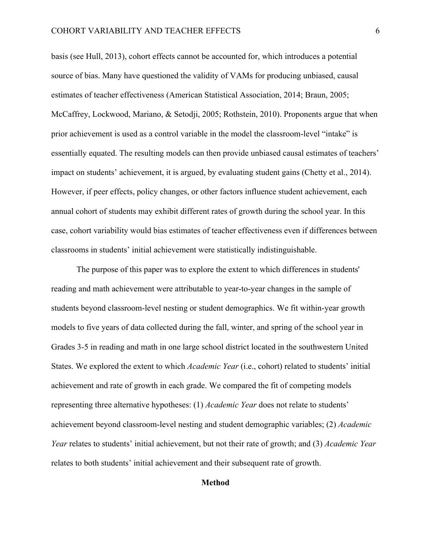basis (see Hull, 2013), cohort effects cannot be accounted for, which introduces a potential source of bias. Many have questioned the validity of VAMs for producing unbiased, causal estimates of teacher effectiveness (American Statistical Association, 2014; Braun, 2005; McCaffrey, Lockwood, Mariano, & Setodji, 2005; Rothstein, 2010). Proponents argue that when prior achievement is used as a control variable in the model the classroom-level "intake" is essentially equated. The resulting models can then provide unbiased causal estimates of teachers' impact on students' achievement, it is argued, by evaluating student gains (Chetty et al., 2014). However, if peer effects, policy changes, or other factors influence student achievement, each annual cohort of students may exhibit different rates of growth during the school year. In this case, cohort variability would bias estimates of teacher effectiveness even if differences between classrooms in students' initial achievement were statistically indistinguishable.

The purpose of this paper was to explore the extent to which differences in students' reading and math achievement were attributable to year-to-year changes in the sample of students beyond classroom-level nesting or student demographics. We fit within-year growth models to five years of data collected during the fall, winter, and spring of the school year in Grades 3-5 in reading and math in one large school district located in the southwestern United States. We explored the extent to which *Academic Year* (i.e., cohort) related to students' initial achievement and rate of growth in each grade. We compared the fit of competing models representing three alternative hypotheses: (1) *Academic Year* does not relate to students' achievement beyond classroom-level nesting and student demographic variables; (2) *Academic Year* relates to students' initial achievement, but not their rate of growth; and (3) *Academic Year* relates to both students' initial achievement and their subsequent rate of growth.

#### **Method**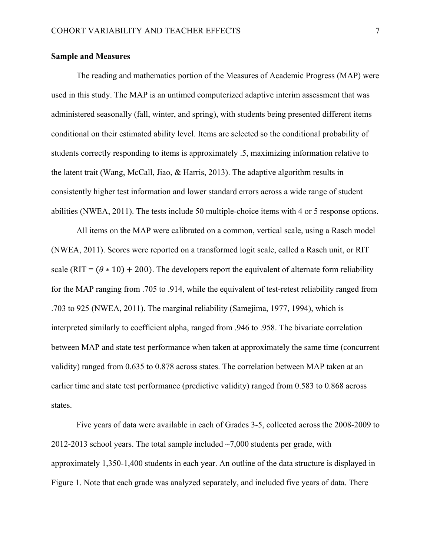#### **Sample and Measures**

The reading and mathematics portion of the Measures of Academic Progress (MAP) were used in this study. The MAP is an untimed computerized adaptive interim assessment that was administered seasonally (fall, winter, and spring), with students being presented different items conditional on their estimated ability level. Items are selected so the conditional probability of students correctly responding to items is approximately .5, maximizing information relative to the latent trait (Wang, McCall, Jiao, & Harris, 2013). The adaptive algorithm results in consistently higher test information and lower standard errors across a wide range of student abilities (NWEA, 2011). The tests include 50 multiple-choice items with 4 or 5 response options.

All items on the MAP were calibrated on a common, vertical scale, using a Rasch model (NWEA, 2011). Scores were reported on a transformed logit scale, called a Rasch unit, or RIT scale (RIT =  $(\theta * 10) + 200$ ). The developers report the equivalent of alternate form reliability for the MAP ranging from .705 to .914, while the equivalent of test-retest reliability ranged from .703 to 925 (NWEA, 2011). The marginal reliability (Samejima, 1977, 1994), which is interpreted similarly to coefficient alpha, ranged from .946 to .958. The bivariate correlation between MAP and state test performance when taken at approximately the same time (concurrent validity) ranged from 0.635 to 0.878 across states. The correlation between MAP taken at an earlier time and state test performance (predictive validity) ranged from 0.583 to 0.868 across states.

Five years of data were available in each of Grades 3-5, collected across the 2008-2009 to 2012-2013 school years. The total sample included  $\sim$ 7,000 students per grade, with approximately 1,350-1,400 students in each year. An outline of the data structure is displayed in Figure 1. Note that each grade was analyzed separately, and included five years of data. There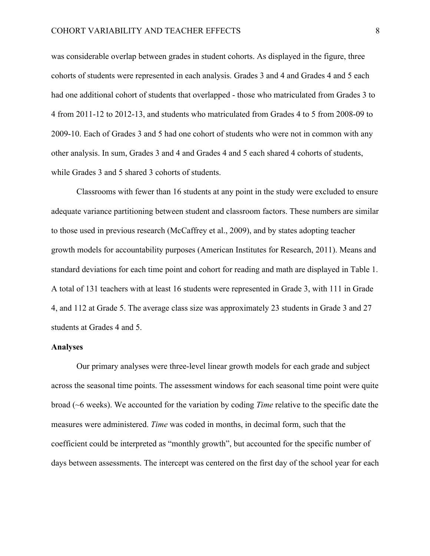was considerable overlap between grades in student cohorts. As displayed in the figure, three cohorts of students were represented in each analysis. Grades 3 and 4 and Grades 4 and 5 each had one additional cohort of students that overlapped - those who matriculated from Grades 3 to 4 from 2011-12 to 2012-13, and students who matriculated from Grades 4 to 5 from 2008-09 to 2009-10. Each of Grades 3 and 5 had one cohort of students who were not in common with any other analysis. In sum, Grades 3 and 4 and Grades 4 and 5 each shared 4 cohorts of students, while Grades 3 and 5 shared 3 cohorts of students.

Classrooms with fewer than 16 students at any point in the study were excluded to ensure adequate variance partitioning between student and classroom factors. These numbers are similar to those used in previous research (McCaffrey et al., 2009), and by states adopting teacher growth models for accountability purposes (American Institutes for Research, 2011). Means and standard deviations for each time point and cohort for reading and math are displayed in Table 1. A total of 131 teachers with at least 16 students were represented in Grade 3, with 111 in Grade 4, and 112 at Grade 5. The average class size was approximately 23 students in Grade 3 and 27 students at Grades 4 and 5.

#### **Analyses**

Our primary analyses were three-level linear growth models for each grade and subject across the seasonal time points. The assessment windows for each seasonal time point were quite broad (~6 weeks). We accounted for the variation by coding *Time* relative to the specific date the measures were administered. *Time* was coded in months, in decimal form, such that the coefficient could be interpreted as "monthly growth", but accounted for the specific number of days between assessments. The intercept was centered on the first day of the school year for each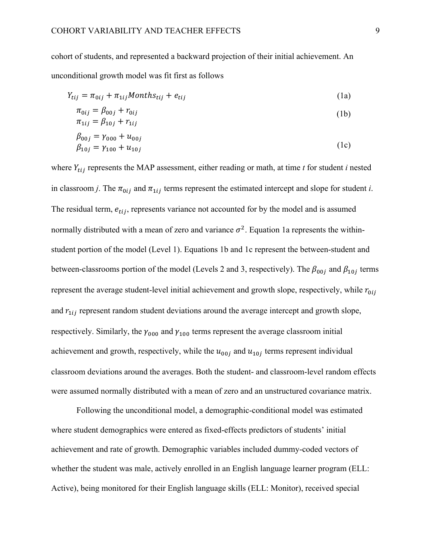cohort of students, and represented a backward projection of their initial achievement. An unconditional growth model was fit first as follows

$$
Y_{tij} = \pi_{0ij} + \pi_{1ij} \text{Monthly} + e_{tij}
$$
\n<sup>(1a)</sup>

$$
\pi_{0ij} = \beta_{00j} + r_{0ij} \n\pi_{1ij} = \beta_{10j} + r_{1ij}
$$
\n(1b)

$$
\begin{aligned} \beta_{00j} &= \gamma_{000} + u_{00j} \\ \beta_{10j} &= \gamma_{100} + u_{10j} \end{aligned} \tag{1c}
$$

where  $Y_{tij}$  represents the MAP assessment, either reading or math, at time  $t$  for student  $i$  nested in classroom *j*. The  $\pi_{0ij}$  and  $\pi_{1ij}$  terms represent the estimated intercept and slope for student *i*. The residual term,  $e_{tij}$ , represents variance not accounted for by the model and is assumed normally distributed with a mean of zero and variance  $\sigma^2$ . Equation 1a represents the withinstudent portion of the model (Level 1). Equations 1b and 1c represent the between-student and between-classrooms portion of the model (Levels 2 and 3, respectively). The  $\beta_{00j}$  and  $\beta_{10j}$  terms represent the average student-level initial achievement and growth slope, respectively, while  $r_{0ij}$ and  $r_{1ij}$  represent random student deviations around the average intercept and growth slope, respectively. Similarly, the  $\gamma_{000}$  and  $\gamma_{100}$  terms represent the average classroom initial achievement and growth, respectively, while the  $u_{00j}$  and  $u_{10j}$  terms represent individual classroom deviations around the averages. Both the student- and classroom-level random effects were assumed normally distributed with a mean of zero and an unstructured covariance matrix.

Following the unconditional model, a demographic-conditional model was estimated where student demographics were entered as fixed-effects predictors of students' initial achievement and rate of growth. Demographic variables included dummy-coded vectors of whether the student was male, actively enrolled in an English language learner program (ELL: Active), being monitored for their English language skills (ELL: Monitor), received special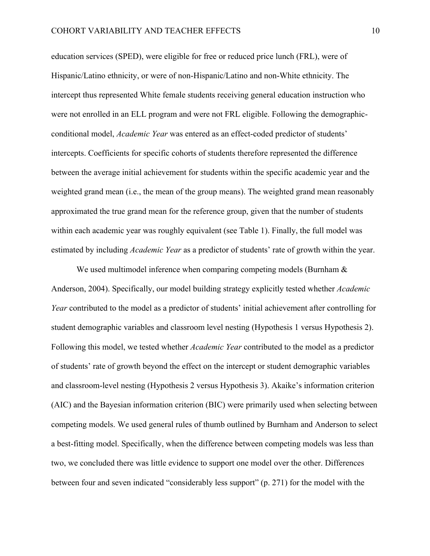education services (SPED), were eligible for free or reduced price lunch (FRL), were of Hispanic/Latino ethnicity, or were of non-Hispanic/Latino and non-White ethnicity. The intercept thus represented White female students receiving general education instruction who were not enrolled in an ELL program and were not FRL eligible. Following the demographicconditional model, *Academic Year* was entered as an effect-coded predictor of students' intercepts. Coefficients for specific cohorts of students therefore represented the difference between the average initial achievement for students within the specific academic year and the weighted grand mean (i.e., the mean of the group means). The weighted grand mean reasonably approximated the true grand mean for the reference group, given that the number of students within each academic year was roughly equivalent (see Table 1). Finally, the full model was estimated by including *Academic Year* as a predictor of students' rate of growth within the year.

We used multimodel inference when comparing competing models (Burnham  $\&$ Anderson, 2004). Specifically, our model building strategy explicitly tested whether *Academic Year* contributed to the model as a predictor of students' initial achievement after controlling for student demographic variables and classroom level nesting (Hypothesis 1 versus Hypothesis 2). Following this model, we tested whether *Academic Year* contributed to the model as a predictor of students' rate of growth beyond the effect on the intercept or student demographic variables and classroom-level nesting (Hypothesis 2 versus Hypothesis 3). Akaike's information criterion (AIC) and the Bayesian information criterion (BIC) were primarily used when selecting between competing models. We used general rules of thumb outlined by Burnham and Anderson to select a best-fitting model. Specifically, when the difference between competing models was less than two, we concluded there was little evidence to support one model over the other. Differences between four and seven indicated "considerably less support" (p. 271) for the model with the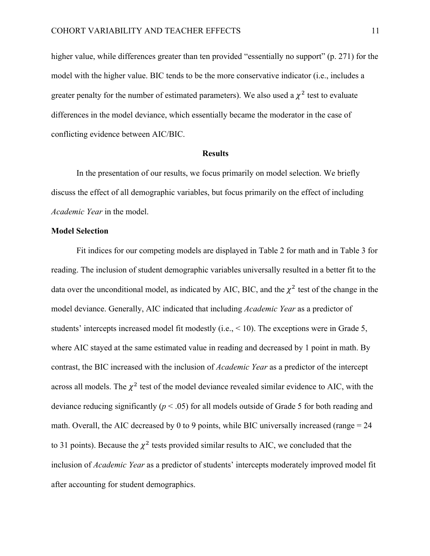higher value, while differences greater than ten provided "essentially no support" (p. 271) for the model with the higher value. BIC tends to be the more conservative indicator (i.e., includes a greater penalty for the number of estimated parameters). We also used a  $\chi^2$  test to evaluate differences in the model deviance, which essentially became the moderator in the case of conflicting evidence between AIC/BIC.

#### **Results**

In the presentation of our results, we focus primarily on model selection. We briefly discuss the effect of all demographic variables, but focus primarily on the effect of including *Academic Year* in the model.

#### **Model Selection**

Fit indices for our competing models are displayed in Table 2 for math and in Table 3 for reading. The inclusion of student demographic variables universally resulted in a better fit to the data over the unconditional model, as indicated by AIC, BIC, and the  $\chi^2$  test of the change in the model deviance. Generally, AIC indicated that including *Academic Year* as a predictor of students' intercepts increased model fit modestly (i.e., < 10). The exceptions were in Grade 5, where AIC stayed at the same estimated value in reading and decreased by 1 point in math. By contrast, the BIC increased with the inclusion of *Academic Year* as a predictor of the intercept across all models. The  $\chi^2$  test of the model deviance revealed similar evidence to AIC, with the deviance reducing significantly ( $p < .05$ ) for all models outside of Grade 5 for both reading and math. Overall, the AIC decreased by 0 to 9 points, while BIC universally increased (range  $= 24$ ) to 31 points). Because the  $\chi^2$  tests provided similar results to AIC, we concluded that the inclusion of *Academic Year* as a predictor of students' intercepts moderately improved model fit after accounting for student demographics.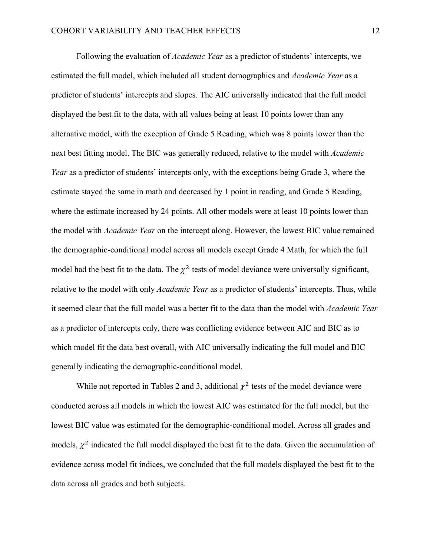Following the evaluation of *Academic Year* as a predictor of students' intercepts, we estimated the full model, which included all student demographics and *Academic Year* as a predictor of students' intercepts and slopes. The AIC universally indicated that the full model displayed the best fit to the data, with all values being at least 10 points lower than any alternative model, with the exception of Grade 5 Reading, which was 8 points lower than the next best fitting model. The BIC was generally reduced, relative to the model with *Academic Year* as a predictor of students' intercepts only, with the exceptions being Grade 3, where the estimate stayed the same in math and decreased by 1 point in reading, and Grade 5 Reading, where the estimate increased by 24 points. All other models were at least 10 points lower than the model with *Academic Year* on the intercept along. However, the lowest BIC value remained the demographic-conditional model across all models except Grade 4 Math, for which the full model had the best fit to the data. The  $\chi^2$  tests of model deviance were universally significant, relative to the model with only *Academic Year* as a predictor of students' intercepts. Thus, while it seemed clear that the full model was a better fit to the data than the model with *Academic Year* as a predictor of intercepts only, there was conflicting evidence between AIC and BIC as to which model fit the data best overall, with AIC universally indicating the full model and BIC generally indicating the demographic-conditional model.

While not reported in Tables 2 and 3, additional  $\chi^2$  tests of the model deviance were conducted across all models in which the lowest AIC was estimated for the full model, but the lowest BIC value was estimated for the demographic-conditional model. Across all grades and models,  $\chi^2$  indicated the full model displayed the best fit to the data. Given the accumulation of evidence across model fit indices, we concluded that the full models displayed the best fit to the data across all grades and both subjects.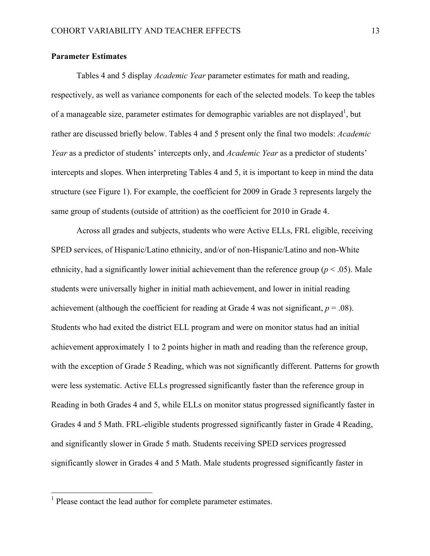#### **Parameter Estimates**

Tables 4 and 5 display *Academic Year* parameter estimates for math and reading, respectively, as well as variance components for each of the selected models. To keep the tables of a manageable size, parameter estimates for demographic variables are not displayed<sup>1</sup>, but rather are discussed briefly below. Tables 4 and 5 present only the final two models: *Academic Year* as a predictor of students' intercepts only, and *Academic Year* as a predictor of students' intercepts and slopes. When interpreting Tables 4 and 5, it is important to keep in mind the data structure (see Figure 1). For example, the coefficient for 2009 in Grade 3 represents largely the same group of students (outside of attrition) as the coefficient for 2010 in Grade 4.

Across all grades and subjects, students who were Active ELLs, FRL eligible, receiving SPED services, of Hispanic/Latino ethnicity, and/or of non-Hispanic/Latino and non-White ethnicity, had a significantly lower initial achievement than the reference group ( $p < .05$ ). Male students were universally higher in initial math achievement, and lower in initial reading achievement (although the coefficient for reading at Grade 4 was not significant,  $p = .08$ ). Students who had exited the district ELL program and were on monitor status had an initial achievement approximately 1 to 2 points higher in math and reading than the reference group, with the exception of Grade 5 Reading, which was not significantly different. Patterns for growth were less systematic. Active ELLs progressed significantly faster than the reference group in Reading in both Grades 4 and 5, while ELLs on monitor status progressed significantly faster in Grades 4 and 5 Math. FRL-eligible students progressed significantly faster in Grade 4 Reading, and significantly slower in Grade 5 math. Students receiving SPED services progressed significantly slower in Grades 4 and 5 Math. Male students progressed significantly faster in

 <sup>1</sup> Please contact the lead author for complete parameter estimates.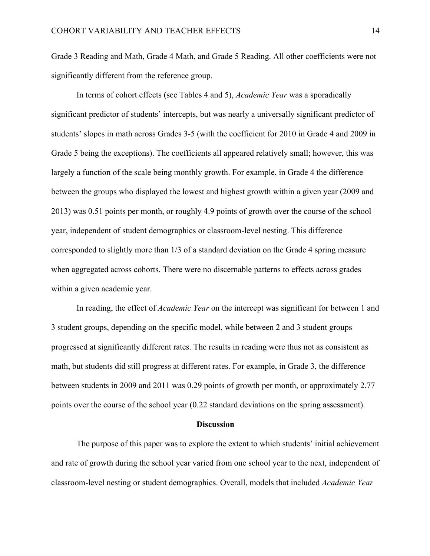Grade 3 Reading and Math, Grade 4 Math, and Grade 5 Reading. All other coefficients were not significantly different from the reference group.

In terms of cohort effects (see Tables 4 and 5), *Academic Year* was a sporadically significant predictor of students' intercepts, but was nearly a universally significant predictor of students' slopes in math across Grades 3-5 (with the coefficient for 2010 in Grade 4 and 2009 in Grade 5 being the exceptions). The coefficients all appeared relatively small; however, this was largely a function of the scale being monthly growth. For example, in Grade 4 the difference between the groups who displayed the lowest and highest growth within a given year (2009 and 2013) was 0.51 points per month, or roughly 4.9 points of growth over the course of the school year, independent of student demographics or classroom-level nesting. This difference corresponded to slightly more than 1/3 of a standard deviation on the Grade 4 spring measure when aggregated across cohorts. There were no discernable patterns to effects across grades within a given academic year.

In reading, the effect of *Academic Year* on the intercept was significant for between 1 and 3 student groups, depending on the specific model, while between 2 and 3 student groups progressed at significantly different rates. The results in reading were thus not as consistent as math, but students did still progress at different rates. For example, in Grade 3, the difference between students in 2009 and 2011 was 0.29 points of growth per month, or approximately 2.77 points over the course of the school year (0.22 standard deviations on the spring assessment).

#### **Discussion**

The purpose of this paper was to explore the extent to which students' initial achievement and rate of growth during the school year varied from one school year to the next, independent of classroom-level nesting or student demographics. Overall, models that included *Academic Year*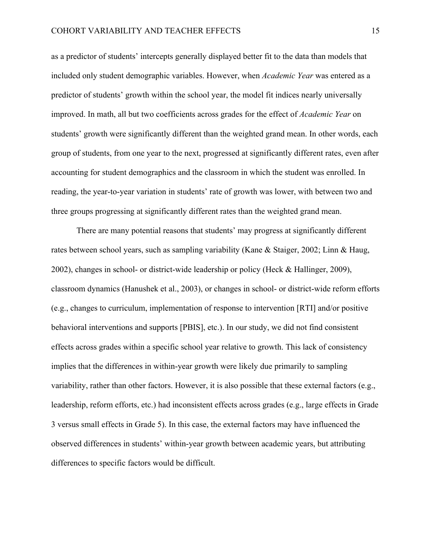as a predictor of students' intercepts generally displayed better fit to the data than models that included only student demographic variables. However, when *Academic Year* was entered as a predictor of students' growth within the school year, the model fit indices nearly universally improved. In math, all but two coefficients across grades for the effect of *Academic Year* on students' growth were significantly different than the weighted grand mean. In other words, each group of students, from one year to the next, progressed at significantly different rates, even after accounting for student demographics and the classroom in which the student was enrolled. In reading, the year-to-year variation in students' rate of growth was lower, with between two and three groups progressing at significantly different rates than the weighted grand mean.

There are many potential reasons that students' may progress at significantly different rates between school years, such as sampling variability (Kane & Staiger, 2002; Linn & Haug, 2002), changes in school- or district-wide leadership or policy (Heck & Hallinger, 2009), classroom dynamics (Hanushek et al., 2003), or changes in school- or district-wide reform efforts (e.g., changes to curriculum, implementation of response to intervention [RTI] and/or positive behavioral interventions and supports [PBIS], etc.). In our study, we did not find consistent effects across grades within a specific school year relative to growth. This lack of consistency implies that the differences in within-year growth were likely due primarily to sampling variability, rather than other factors. However, it is also possible that these external factors (e.g., leadership, reform efforts, etc.) had inconsistent effects across grades (e.g., large effects in Grade 3 versus small effects in Grade 5). In this case, the external factors may have influenced the observed differences in students' within-year growth between academic years, but attributing differences to specific factors would be difficult.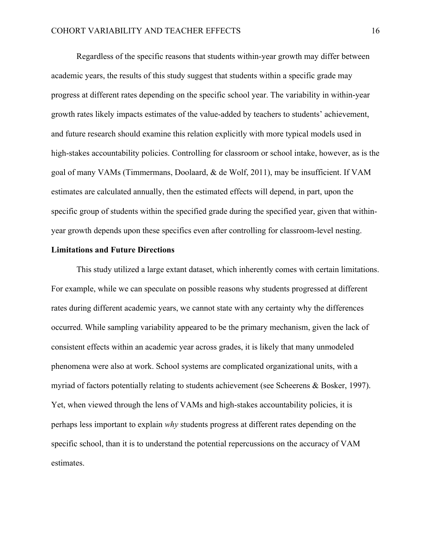Regardless of the specific reasons that students within-year growth may differ between academic years, the results of this study suggest that students within a specific grade may progress at different rates depending on the specific school year. The variability in within-year growth rates likely impacts estimates of the value-added by teachers to students' achievement, and future research should examine this relation explicitly with more typical models used in high-stakes accountability policies. Controlling for classroom or school intake, however, as is the goal of many VAMs (Timmermans, Doolaard, & de Wolf, 2011), may be insufficient. If VAM estimates are calculated annually, then the estimated effects will depend, in part, upon the specific group of students within the specified grade during the specified year, given that withinyear growth depends upon these specifics even after controlling for classroom-level nesting.

#### **Limitations and Future Directions**

This study utilized a large extant dataset, which inherently comes with certain limitations. For example, while we can speculate on possible reasons why students progressed at different rates during different academic years, we cannot state with any certainty why the differences occurred. While sampling variability appeared to be the primary mechanism, given the lack of consistent effects within an academic year across grades, it is likely that many unmodeled phenomena were also at work. School systems are complicated organizational units, with a myriad of factors potentially relating to students achievement (see Scheerens & Bosker, 1997). Yet, when viewed through the lens of VAMs and high-stakes accountability policies, it is perhaps less important to explain *why* students progress at different rates depending on the specific school, than it is to understand the potential repercussions on the accuracy of VAM estimates.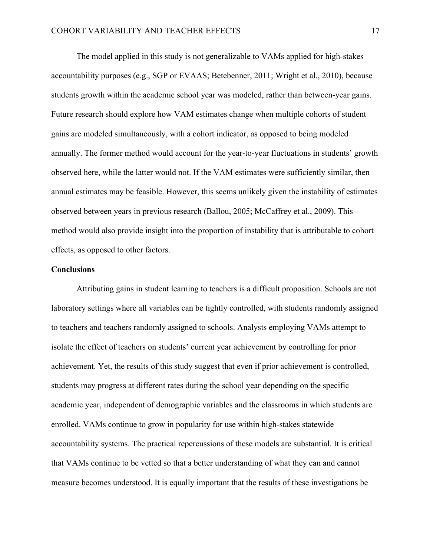The model applied in this study is not generalizable to VAMs applied for high-stakes accountability purposes (e.g., SGP or EVAAS; Betebenner, 2011; Wright et al., 2010), because students growth within the academic school year was modeled, rather than between-year gains. Future research should explore how VAM estimates change when multiple cohorts of student gains are modeled simultaneously, with a cohort indicator, as opposed to being modeled annually. The former method would account for the year-to-year fluctuations in students' growth observed here, while the latter would not. If the VAM estimates were sufficiently similar, then annual estimates may be feasible. However, this seems unlikely given the instability of estimates observed between years in previous research (Ballou, 2005; McCaffrey et al., 2009). This method would also provide insight into the proportion of instability that is attributable to cohort effects, as opposed to other factors.

#### **Conclusions**

Attributing gains in student learning to teachers is a difficult proposition. Schools are not laboratory settings where all variables can be tightly controlled, with students randomly assigned to teachers and teachers randomly assigned to schools. Analysts employing VAMs attempt to isolate the effect of teachers on students' current year achievement by controlling for prior achievement. Yet, the results of this study suggest that even if prior achievement is controlled, students may progress at different rates during the school year depending on the specific academic year, independent of demographic variables and the classrooms in which students are enrolled. VAMs continue to grow in popularity for use within high-stakes statewide accountability systems. The practical repercussions of these models are substantial. It is critical that VAMs continue to be vetted so that a better understanding of what they can and cannot measure becomes understood. It is equally important that the results of these investigations be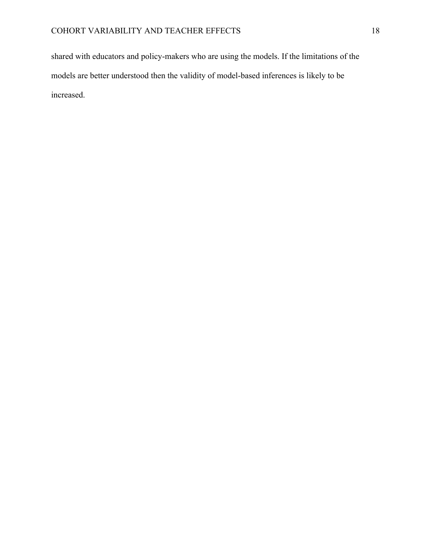shared with educators and policy-makers who are using the models. If the limitations of the models are better understood then the validity of model-based inferences is likely to be increased.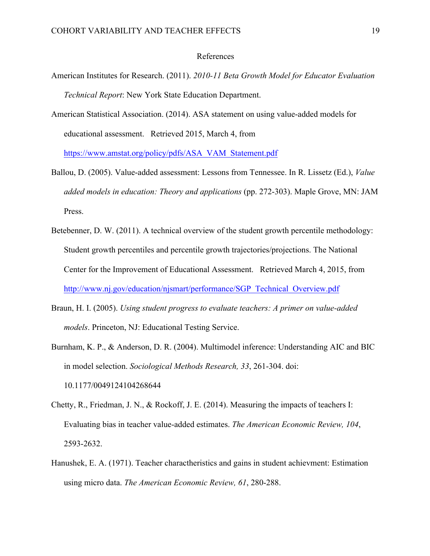#### References

- American Institutes for Research. (2011). *2010-11 Beta Growth Model for Educator Evaluation Technical Report*: New York State Education Department.
- American Statistical Association. (2014). ASA statement on using value-added models for educational assessment. Retrieved 2015, March 4, from

https://www.amstat.org/policy/pdfs/ASA\_VAM\_Statement.pdf

- Ballou, D. (2005). Value-added assessment: Lessons from Tennessee. In R. Lissetz (Ed.), *Value added models in education: Theory and applications* (pp. 272-303). Maple Grove, MN: JAM Press.
- Betebenner, D. W. (2011). A technical overview of the student growth percentile methodology: Student growth percentiles and percentile growth trajectories/projections. The National Center for the Improvement of Educational Assessment. Retrieved March 4, 2015, from http://www.nj.gov/education/njsmart/performance/SGP\_Technical\_Overview.pdf
- Braun, H. I. (2005). *Using student progress to evaluate teachers: A primer on value-added models*. Princeton, NJ: Educational Testing Service.
- Burnham, K. P., & Anderson, D. R. (2004). Multimodel inference: Understanding AIC and BIC in model selection. *Sociological Methods Research, 33*, 261-304. doi: 10.1177/0049124104268644
- Chetty, R., Friedman, J. N., & Rockoff, J. E. (2014). Measuring the impacts of teachers I: Evaluating bias in teacher value-added estimates. *The American Economic Review, 104*, 2593-2632.
- Hanushek, E. A. (1971). Teacher charactheristics and gains in student achievment: Estimation using micro data. *The American Economic Review, 61*, 280-288.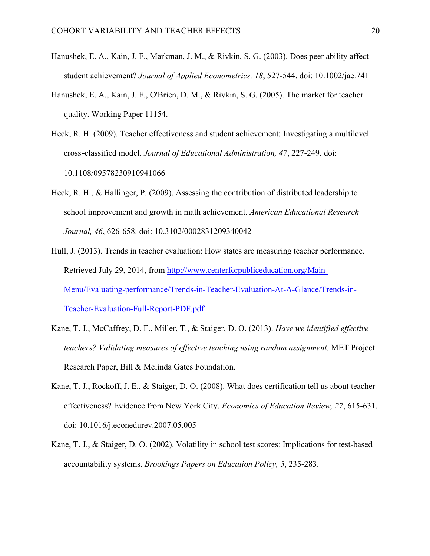- Hanushek, E. A., Kain, J. F., Markman, J. M., & Rivkin, S. G. (2003). Does peer ability affect student achievement? *Journal of Applied Econometrics, 18*, 527-544. doi: 10.1002/jae.741
- Hanushek, E. A., Kain, J. F., O'Brien, D. M., & Rivkin, S. G. (2005). The market for teacher quality. Working Paper 11154.
- Heck, R. H. (2009). Teacher effectiveness and student achievement: Investigating a multilevel cross*‐*classified model. *Journal of Educational Administration, 47*, 227-249. doi: 10.1108/09578230910941066
- Heck, R. H., & Hallinger, P. (2009). Assessing the contribution of distributed leadership to school improvement and growth in math achievement. *American Educational Research Journal, 46*, 626-658. doi: 10.3102/0002831209340042
- Hull, J. (2013). Trends in teacher evaluation: How states are measuring teacher performance. Retrieved July 29, 2014, from http://www.centerforpubliceducation.org/Main-Menu/Evaluating-performance/Trends-in-Teacher-Evaluation-At-A-Glance/Trends-in-Teacher-Evaluation-Full-Report-PDF.pdf
- Kane, T. J., McCaffrey, D. F., Miller, T., & Staiger, D. O. (2013). *Have we identified effective teachers? Validating measures of effective teaching using random assignment.* MET Project Research Paper, Bill & Melinda Gates Foundation.
- Kane, T. J., Rockoff, J. E., & Staiger, D. O. (2008). What does certification tell us about teacher effectiveness? Evidence from New York City. *Economics of Education Review, 27*, 615-631. doi: 10.1016/j.econedurev.2007.05.005
- Kane, T. J., & Staiger, D. O. (2002). Volatility in school test scores: Implications for test-based accountability systems. *Brookings Papers on Education Policy, 5*, 235-283.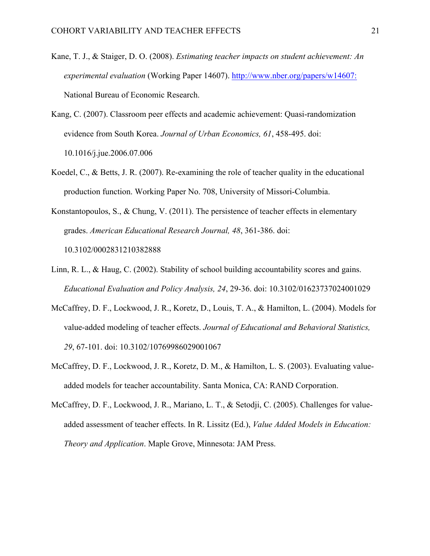- Kane, T. J., & Staiger, D. O. (2008). *Estimating teacher impacts on student achievement: An experimental evaluation* (Working Paper 14607). http://www.nber.org/papers/w14607: National Bureau of Economic Research.
- Kang, C. (2007). Classroom peer effects and academic achievement: Quasi-randomization evidence from South Korea. *Journal of Urban Economics, 61*, 458-495. doi: 10.1016/j.jue.2006.07.006
- Koedel, C., & Betts, J. R. (2007). Re-examining the role of teacher quality in the educational production function. Working Paper No. 708, University of Missori-Columbia.
- Konstantopoulos, S., & Chung, V. (2011). The persistence of teacher effects in elementary grades. *American Educational Research Journal, 48*, 361-386. doi: 10.3102/0002831210382888
- Linn, R. L., & Haug, C. (2002). Stability of school building accountability scores and gains. *Educational Evaluation and Policy Analysis, 24*, 29-36. doi: 10.3102/01623737024001029
- McCaffrey, D. F., Lockwood, J. R., Koretz, D., Louis, T. A., & Hamilton, L. (2004). Models for value-added modeling of teacher effects. *Journal of Educational and Behavioral Statistics, 29*, 67-101. doi: 10.3102/10769986029001067
- McCaffrey, D. F., Lockwood, J. R., Koretz, D. M., & Hamilton, L. S. (2003). Evaluating valueadded models for teacher accountability. Santa Monica, CA: RAND Corporation.
- McCaffrey, D. F., Lockwood, J. R., Mariano, L. T., & Setodji, C. (2005). Challenges for valueadded assessment of teacher effects. In R. Lissitz (Ed.), *Value Added Models in Education: Theory and Application*. Maple Grove, Minnesota: JAM Press.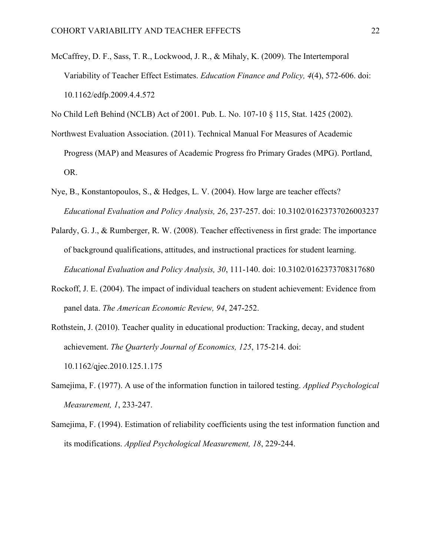McCaffrey, D. F., Sass, T. R., Lockwood, J. R., & Mihaly, K. (2009). The Intertemporal Variability of Teacher Effect Estimates. *Education Finance and Policy, 4*(4), 572-606. doi: 10.1162/edfp.2009.4.4.572

No Child Left Behind (NCLB) Act of 2001. Pub. L. No. 107-10 § 115, Stat. 1425 (2002).

- Northwest Evaluation Association. (2011). Technical Manual For Measures of Academic Progress (MAP) and Measures of Academic Progress fro Primary Grades (MPG). Portland, OR.
- Nye, B., Konstantopoulos, S., & Hedges, L. V. (2004). How large are teacher effects? *Educational Evaluation and Policy Analysis, 26*, 237-257. doi: 10.3102/01623737026003237
- Palardy, G. J., & Rumberger, R. W. (2008). Teacher effectiveness in first grade: The importance of background qualifications, attitudes, and instructional practices for student learning. *Educational Evaluation and Policy Analysis, 30*, 111-140. doi: 10.3102/0162373708317680
- Rockoff, J. E. (2004). The impact of individual teachers on student achievement: Evidence from panel data. *The American Economic Review, 94*, 247-252.
- Rothstein, J. (2010). Teacher quality in educational production: Tracking, decay, and student achievement. *The Quarterly Journal of Economics, 125*, 175-214. doi: 10.1162/qjec.2010.125.1.175
- Samejima, F. (1977). A use of the information function in tailored testing. *Applied Psychological Measurement, 1*, 233-247.
- Samejima, F. (1994). Estimation of reliability coefficients using the test information function and its modifications. *Applied Psychological Measurement, 18*, 229-244.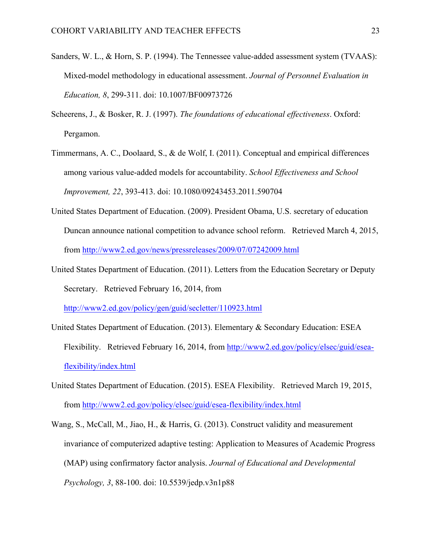- Sanders, W. L., & Horn, S. P. (1994). The Tennessee value-added assessment system (TVAAS): Mixed-model methodology in educational assessment. *Journal of Personnel Evaluation in Education, 8*, 299-311. doi: 10.1007/BF00973726
- Scheerens, J., & Bosker, R. J. (1997). *The foundations of educational effectiveness*. Oxford: Pergamon.
- Timmermans, A. C., Doolaard, S., & de Wolf, I. (2011). Conceptual and empirical differences among various value-added models for accountability. *School Effectiveness and School Improvement, 22*, 393-413. doi: 10.1080/09243453.2011.590704
- United States Department of Education. (2009). President Obama, U.S. secretary of education Duncan announce national competition to advance school reform. Retrieved March 4, 2015, from http://www2.ed.gov/news/pressreleases/2009/07/07242009.html
- United States Department of Education. (2011). Letters from the Education Secretary or Deputy Secretary. Retrieved February 16, 2014, from http://www2.ed.gov/policy/gen/guid/secletter/110923.html
- United States Department of Education. (2013). Elementary & Secondary Education: ESEA Flexibility. Retrieved February 16, 2014, from http://www2.ed.gov/policy/elsec/guid/eseaflexibility/index.html
- United States Department of Education. (2015). ESEA Flexibility. Retrieved March 19, 2015, from http://www2.ed.gov/policy/elsec/guid/esea-flexibility/index.html
- Wang, S., McCall, M., Jiao, H., & Harris, G. (2013). Construct validity and measurement invariance of computerized adaptive testing: Application to Measures of Academic Progress (MAP) using confirmatory factor analysis. *Journal of Educational and Developmental Psychology, 3*, 88-100. doi: 10.5539/jedp.v3n1p88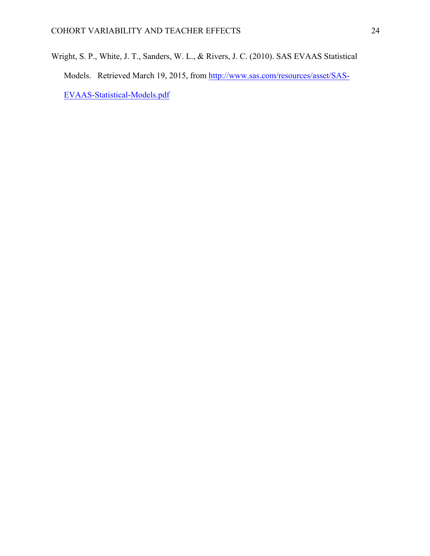Wright, S. P., White, J. T., Sanders, W. L., & Rivers, J. C. (2010). SAS EVAAS Statistical Models. Retrieved March 19, 2015, from http://www.sas.com/resources/asset/SAS-EVAAS-Statistical-Models.pdf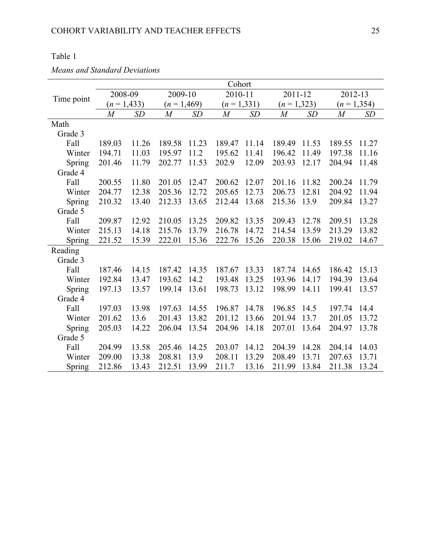## Table 1

*Means and Standard Deviations*

|            | Cohort         |       |                |       |                  |       |                |       |                |           |  |
|------------|----------------|-------|----------------|-------|------------------|-------|----------------|-------|----------------|-----------|--|
|            | 2008-09        |       | 2009-10        |       | 2010-11          |       | 2011-12        |       | 2012-13        |           |  |
| Time point | $(n=1,433)$    |       | $(n=1,469)$    |       | $(n=1,331)$      |       | $(n=1,323)$    |       | $(n=1,354)$    |           |  |
|            | $\overline{M}$ | SD    | $\overline{M}$ | SD    | $\boldsymbol{M}$ | SD    | $\overline{M}$ | SD    | $\overline{M}$ | <b>SD</b> |  |
| Math       |                |       |                |       |                  |       |                |       |                |           |  |
| Grade 3    |                |       |                |       |                  |       |                |       |                |           |  |
| Fall       | 189.03         | 11.26 | 189.58         | 11.23 | 189.47           | 11.14 | 189.49         | 11.53 | 189.55         | 11.27     |  |
| Winter     | 194.71         | 11.03 | 195.97         | 11.2  | 195.62           | 11.41 | 196.42         | 11.49 | 197.38         | 11.16     |  |
| Spring     | 201.46         | 11.79 | 202.77         | 11.53 | 202.9            | 12.09 | 203.93         | 12.17 | 204.94         | 11.48     |  |
| Grade 4    |                |       |                |       |                  |       |                |       |                |           |  |
| Fall       | 200.55         | 11.80 | 201.05         | 12.47 | 200.62           | 12.07 | 201.16         | 11.82 | 200.24         | 11.79     |  |
| Winter     | 204.77         | 12.38 | 205.36         | 12.72 | 205.65           | 12.73 | 206.73         | 12.81 | 204.92         | 11.94     |  |
| Spring     | 210.32         | 13.40 | 212.33         | 13.65 | 212.44           | 13.68 | 215.36         | 13.9  | 209.84         | 13.27     |  |
| Grade 5    |                |       |                |       |                  |       |                |       |                |           |  |
| Fall       | 209.87         | 12.92 | 210.05         | 13.25 | 209.82           | 13.35 | 209.43         | 12.78 | 209.51         | 13.28     |  |
| Winter     | 215.13         | 14.18 | 215.76         | 13.79 | 216.78           | 14.72 | 214.54         | 13.59 | 213.29         | 13.82     |  |
| Spring     | 221.52         | 15.39 | 222.01         | 15.36 | 222.76           | 15.26 | 220.38         | 15.06 | 219.02         | 14.67     |  |
| Reading    |                |       |                |       |                  |       |                |       |                |           |  |
| Grade 3    |                |       |                |       |                  |       |                |       |                |           |  |
| Fall       | 187.46         | 14.15 | 187.42         | 14.35 | 187.67           | 13.33 | 187.74         | 14.65 | 186.42         | 15.13     |  |
| Winter     | 192.84         | 13.47 | 193.62         | 14.2  | 193.48           | 13.25 | 193.96         | 14.17 | 194.39         | 13.64     |  |
| Spring     | 197.13         | 13.57 | 199.14         | 13.61 | 198.73           | 13.12 | 198.99         | 14.11 | 199.41         | 13.57     |  |
| Grade 4    |                |       |                |       |                  |       |                |       |                |           |  |
| Fall       | 197.03         | 13.98 | 197.63         | 14.55 | 196.87           | 14.78 | 196.85         | 14.5  | 197.74         | 14.4      |  |
| Winter     | 201.62         | 13.6  | 201.43         | 13.82 | 201.12           | 13.66 | 201.94         | 13.7  | 201.05         | 13.72     |  |
| Spring     | 205.03         | 14.22 | 206.04         | 13.54 | 204.96           | 14.18 | 207.01         | 13.64 | 204.97         | 13.78     |  |
| Grade 5    |                |       |                |       |                  |       |                |       |                |           |  |
| Fall       | 204.99         | 13.58 | 205.46         | 14.25 | 203.07           | 14.12 | 204.39         | 14.28 | 204.14         | 14.03     |  |
| Winter     | 209.00         | 13.38 | 208.81         | 13.9  | 208.11           | 13.29 | 208.49         | 13.71 | 207.63         | 13.71     |  |
| Spring     | 212.86         | 13.43 | 212.51         | 13.99 | 211.7            | 13.16 | 211.99         | 13.84 | 211.38         | 13.24     |  |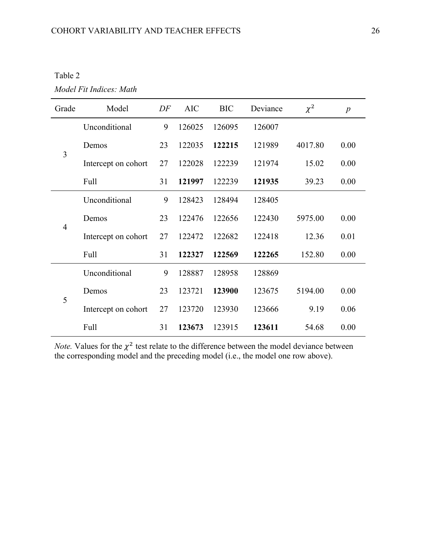*Model Fit Indices: Math*

| Grade          | Model               | DF | <b>AIC</b> | <b>BIC</b> | Deviance | $\chi^2$ | $\boldsymbol{p}$ |
|----------------|---------------------|----|------------|------------|----------|----------|------------------|
|                | Unconditional       | 9  | 126025     | 126095     | 126007   |          |                  |
|                | Demos               | 23 | 122035     | 122215     | 121989   | 4017.80  | 0.00             |
| 3              | Intercept on cohort | 27 | 122028     | 122239     | 121974   | 15.02    | 0.00             |
|                | Full                | 31 | 121997     | 122239     | 121935   | 39.23    | 0.00             |
|                | Unconditional       | 9  | 128423     | 128494     | 128405   |          |                  |
|                | Demos               | 23 | 122476     | 122656     | 122430   | 5975.00  | 0.00             |
| $\overline{4}$ | Intercept on cohort | 27 | 122472     | 122682     | 122418   | 12.36    | 0.01             |
|                | Full                | 31 | 122327     | 122569     | 122265   | 152.80   | 0.00             |
|                | Unconditional       | 9  | 128887     | 128958     | 128869   |          |                  |
|                | Demos               | 23 | 123721     | 123900     | 123675   | 5194.00  | 0.00             |
| 5              | Intercept on cohort | 27 | 123720     | 123930     | 123666   | 9.19     | 0.06             |
|                | Full                | 31 | 123673     | 123915     | 123611   | 54.68    | 0.00             |

*Note.* Values for the  $\chi^2$  test relate to the difference between the model deviance between the corresponding model and the preceding model (i.e., the model one row above).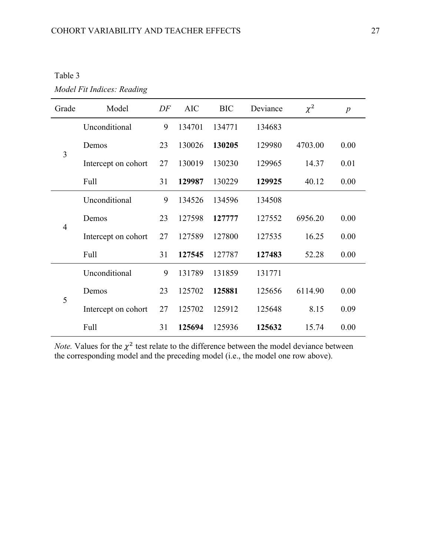| Table 3 |  |
|---------|--|
|         |  |

*Model Fit Indices: Reading*

| Grade          | Model               | DF | <b>AIC</b> | <b>BIC</b> | Deviance | $\chi^2$ | $\boldsymbol{p}$ |
|----------------|---------------------|----|------------|------------|----------|----------|------------------|
|                | Unconditional       | 9  | 134701     | 134771     | 134683   |          |                  |
|                | Demos               | 23 | 130026     | 130205     | 129980   | 4703.00  | 0.00             |
| 3              | Intercept on cohort | 27 | 130019     | 130230     | 129965   | 14.37    | 0.01             |
|                | Full                | 31 | 129987     | 130229     | 129925   | 40.12    | 0.00             |
|                | Unconditional       | 9  | 134526     | 134596     | 134508   |          |                  |
|                | Demos               | 23 | 127598     | 127777     | 127552   | 6956.20  | 0.00             |
| $\overline{4}$ | Intercept on cohort | 27 | 127589     | 127800     | 127535   | 16.25    | 0.00             |
|                | Full                | 31 | 127545     | 127787     | 127483   | 52.28    | 0.00             |
|                | Unconditional       | 9  | 131789     | 131859     | 131771   |          |                  |
|                | Demos               | 23 | 125702     | 125881     | 125656   | 6114.90  | 0.00             |
| 5              | Intercept on cohort | 27 | 125702     | 125912     | 125648   | 8.15     | 0.09             |
|                | Full                | 31 | 125694     | 125936     | 125632   | 15.74    | 0.00             |

*Note.* Values for the  $\chi^2$  test relate to the difference between the model deviance between the corresponding model and the preceding model (i.e., the model one row above).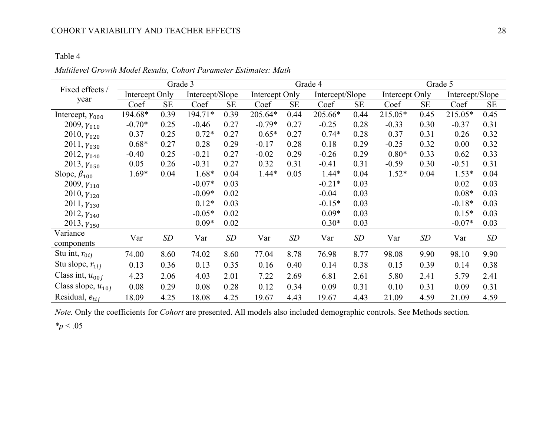## COHORT VARIABILITY AND TEACHER EFFECTS 28

### Table 4

|                           |                | Grade 3   | Grade 4         |           |                |           | Grade 5         |           |                |           |                 |           |
|---------------------------|----------------|-----------|-----------------|-----------|----------------|-----------|-----------------|-----------|----------------|-----------|-----------------|-----------|
| Fixed effects /           | Intercept Only |           | Intercept/Slope |           | Intercept Only |           | Intercept/Slope |           | Intercept Only |           | Intercept/Slope |           |
| year                      | Coef           | <b>SE</b> | Coef            | <b>SE</b> | Coef           | <b>SE</b> | Coef            | <b>SE</b> | Coef           | <b>SE</b> | Coef            | <b>SE</b> |
| Intercept, $\gamma_{000}$ | 194.68*        | 0.39      | 194.71*         | 0.39      | 205.64*        | 0.44      | 205.66*         | 0.44      | 215.05*        | 0.45      | 215.05*         | 0.45      |
| 2009, $\gamma_{010}$      | $-0.70*$       | 0.25      | $-0.46$         | 0.27      | $-0.79*$       | 0.27      | $-0.25$         | 0.28      | $-0.33$        | 0.30      | $-0.37$         | 0.31      |
| 2010, $\gamma_{020}$      | 0.37           | 0.25      | $0.72*$         | 0.27      | $0.65*$        | 0.27      | $0.74*$         | 0.28      | 0.37           | 0.31      | 0.26            | 0.32      |
| $2011, \gamma_{030}$      | $0.68*$        | 0.27      | 0.28            | 0.29      | $-0.17$        | 0.28      | 0.18            | 0.29      | $-0.25$        | 0.32      | 0.00            | 0.32      |
| 2012, $\gamma_{040}$      | $-0.40$        | 0.25      | $-0.21$         | 0.27      | $-0.02$        | 0.29      | $-0.26$         | 0.29      | $0.80*$        | 0.33      | 0.62            | 0.33      |
| 2013, $\gamma_{050}$      | 0.05           | 0.26      | $-0.31$         | 0.27      | 0.32           | 0.31      | $-0.41$         | 0.31      | $-0.59$        | 0.30      | $-0.51$         | 0.31      |
| Slope, $\beta_{100}$      | $1.69*$        | 0.04      | 1.68*           | 0.04      | $1.44*$        | 0.05      | $1.44*$         | 0.04      | $1.52*$        | 0.04      | $1.53*$         | 0.04      |
| 2009, $\gamma_{110}$      |                |           | $-0.07*$        | 0.03      |                |           | $-0.21*$        | 0.03      |                |           | 0.02            | 0.03      |
| 2010, $\gamma_{120}$      |                |           | $-0.09*$        | 0.02      |                |           | $-0.04$         | 0.03      |                |           | $0.08*$         | 0.03      |
| $2011, \gamma_{130}$      |                |           | $0.12*$         | 0.03      |                |           | $-0.15*$        | 0.03      |                |           | $-0.18*$        | 0.03      |
| 2012, $\gamma_{140}$      |                |           | $-0.05*$        | 0.02      |                |           | $0.09*$         | 0.03      |                |           | $0.15*$         | 0.03      |
| $2013, \gamma_{150}$      |                |           | $0.09*$         | 0.02      |                |           | $0.30*$         | 0.03      |                |           | $-0.07*$        | 0.03      |
| Variance                  | Var            | SD        | Var             | SD        | Var            | SD        | Var             | <b>SD</b> | Var            | SD        | Var             | SD        |
| components                |                |           |                 |           |                |           |                 |           |                |           |                 |           |
| Stu int, $r_{0ij}$        | 74.00          | 8.60      | 74.02           | 8.60      | 77.04          | 8.78      | 76.98           | 8.77      | 98.08          | 9.90      | 98.10           | 9.90      |
| Stu slope, $r_{1ij}$      | 0.13           | 0.36      | 0.13            | 0.35      | 0.16           | 0.40      | 0.14            | 0.38      | 0.15           | 0.39      | 0.14            | 0.38      |
| Class int, $u_{00j}$      | 4.23           | 2.06      | 4.03            | 2.01      | 7.22           | 2.69      | 6.81            | 2.61      | 5.80           | 2.41      | 5.79            | 2.41      |
| Class slope, $u_{10j}$    | 0.08           | 0.29      | 0.08            | 0.28      | 0.12           | 0.34      | 0.09            | 0.31      | 0.10           | 0.31      | 0.09            | 0.31      |
| Residual, $e_{tij}$       | 18.09          | 4.25      | 18.08           | 4.25      | 19.67          | 4.43      | 19.67           | 4.43      | 21.09          | 4.59      | 21.09           | 4.59      |

*Multilevel Growth Model Results, Cohort Parameter Estimates: Math*

*Note.* Only the coefficients for *Cohort* are presented. All models also included demographic controls. See Methods section.

*\*p* < .05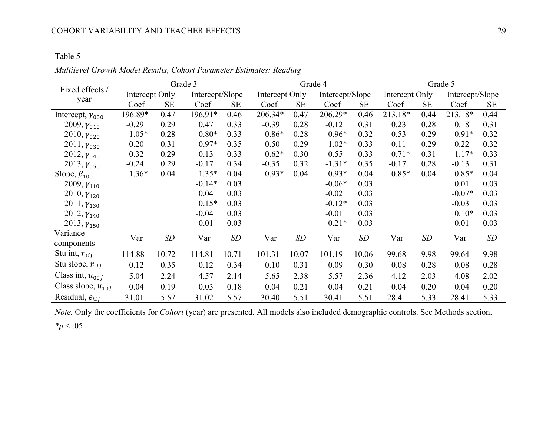## COHORT VARIABILITY AND TEACHER EFFECTS 29

## Table 5

|                           |                |           | Grade 3         |           |                |           | Grade 4         |           |                |           | Grade 5         |           |
|---------------------------|----------------|-----------|-----------------|-----------|----------------|-----------|-----------------|-----------|----------------|-----------|-----------------|-----------|
| Fixed effects /           | Intercept Only |           | Intercept/Slope |           | Intercept Only |           | Intercept/Slope |           | Intercept Only |           | Intercept/Slope |           |
| year                      | Coef           | <b>SE</b> | Coef            | <b>SE</b> | Coef           | <b>SE</b> | Coef            | <b>SE</b> | Coef           | <b>SE</b> | Coef            | <b>SE</b> |
| Intercept, $\gamma_{000}$ | 196.89*        | 0.47      | 196.91*         | 0.46      | 206.34*        | 0.47      | 206.29*         | 0.46      | 213.18*        | 0.44      | 213.18*         | 0.44      |
| 2009, $\gamma_{010}$      | $-0.29$        | 0.29      | 0.47            | 0.33      | $-0.39$        | 0.28      | $-0.12$         | 0.31      | 0.23           | 0.28      | 0.18            | 0.31      |
| 2010, $\gamma_{020}$      | $1.05*$        | 0.28      | $0.80*$         | 0.33      | $0.86*$        | 0.28      | $0.96*$         | 0.32      | 0.53           | 0.29      | $0.91*$         | 0.32      |
| $2011, \gamma_{030}$      | $-0.20$        | 0.31      | $-0.97*$        | 0.35      | 0.50           | 0.29      | $1.02*$         | 0.33      | 0.11           | 0.29      | 0.22            | 0.32      |
| 2012, $\gamma_{040}$      | $-0.32$        | 0.29      | $-0.13$         | 0.33      | $-0.62*$       | 0.30      | $-0.55$         | 0.33      | $-0.71*$       | 0.31      | $-1.17*$        | 0.33      |
| 2013, $\gamma_{050}$      | $-0.24$        | 0.29      | $-0.17$         | 0.34      | $-0.35$        | 0.32      | $-1.31*$        | 0.35      | $-0.17$        | 0.28      | $-0.13$         | 0.31      |
| Slope, $\beta_{100}$      | $1.36*$        | 0.04      | $1.35*$         | 0.04      | $0.93*$        | 0.04      | $0.93*$         | 0.04      | $0.85*$        | 0.04      | $0.85*$         | 0.04      |
| 2009, $\gamma_{110}$      |                |           | $-0.14*$        | 0.03      |                |           | $-0.06*$        | 0.03      |                |           | 0.01            | 0.03      |
| 2010, $\gamma_{120}$      |                |           | 0.04            | 0.03      |                |           | $-0.02$         | 0.03      |                |           | $-0.07*$        | 0.03      |
| 2011, $\gamma_{130}$      |                |           | $0.15*$         | 0.03      |                |           | $-0.12*$        | 0.03      |                |           | $-0.03$         | 0.03      |
| 2012, $\gamma_{140}$      |                |           | $-0.04$         | 0.03      |                |           | $-0.01$         | 0.03      |                |           | $0.10*$         | 0.03      |
| $2013, \gamma_{150}$      |                |           | $-0.01$         | 0.03      |                |           | $0.21*$         | 0.03      |                |           | $-0.01$         | 0.03      |
| Variance                  | Var            | SD        | Var             | SD        | Var            | SD        | Var             | SD        | Var            | SD        | Var             | SD        |
| components                |                |           |                 |           |                |           |                 |           |                |           |                 |           |
| Stu int, $r_{0ij}$        | 114.88         | 10.72     | 114.81          | 10.71     | 101.31         | 10.07     | 101.19          | 10.06     | 99.68          | 9.98      | 99.64           | 9.98      |
| Stu slope, $r_{1ij}$      | 0.12           | 0.35      | 0.12            | 0.34      | 0.10           | 0.31      | 0.09            | 0.30      | 0.08           | 0.28      | 0.08            | 0.28      |
| Class int, $u_{00j}$      | 5.04           | 2.24      | 4.57            | 2.14      | 5.65           | 2.38      | 5.57            | 2.36      | 4.12           | 2.03      | 4.08            | 2.02      |
| Class slope, $u_{10j}$    | 0.04           | 0.19      | 0.03            | 0.18      | 0.04           | 0.21      | 0.04            | 0.21      | 0.04           | 0.20      | 0.04            | 0.20      |
| Residual, $e_{tij}$       | 31.01          | 5.57      | 31.02           | 5.57      | 30.40          | 5.51      | 30.41           | 5.51      | 28.41          | 5.33      | 28.41           | 5.33      |

*Multilevel Growth Model Results, Cohort Parameter Estimates: Reading*

*Note.* Only the coefficients for *Cohort* (year) are presented. All models also included demographic controls. See Methods section.

*\*p* < .05